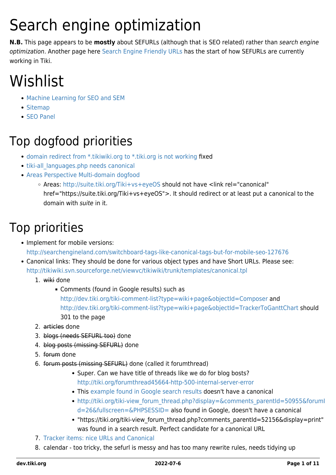# Search engine optimization

**N.B.** This page appears to be **mostly** about SEFURLs (although that is SEO related) rather than search engine optimization. Another page here [Search Engine Friendly URLs](https://dev.tiki.org/Search-Engine-Friendly-URLs) has the start of how SEFURLs are currently working in Tiki.

# Wishlist

- [Machine Learning for SEO and SEM](https://dev.tiki.org/Machine-Learning-for-SEO-and-SEM)
- [Sitemap](https://dev.tiki.org/Sitemap)
- [SEO Panel](https://dev.tiki.org/Seo-Panel)

### Top dogfood priorities

- [domain redirect from \\*.tikiwiki.org to \\*.tiki.org is not working](https://dev.tiki.org/wish4560) fixed
- tiki-all languages.php needs canonical
- [Areas Perspective Multi-domain dogfood](https://dev.tiki.org/Areas-Perspective-Multi-domain-dogfood)
	- Areas: <http://suite.tiki.org/Tiki+vs+eyeOS> should not have <link rel="canonical"
		- href="https://suite.tiki.org/Tiki+vs+eyeOS">. It should redirect or at least put a canonical to the domain with suite in it.

### Top priorities

- Implement for mobile versions: <http://searchengineland.com/switchboard-tags-like-canonical-tags-but-for-mobile-seo-127676>
- Canonical links: They should be done for various object types and have [Short URLs](https://dev.tiki.org/tiki-editpage.php?page=Short+URLs). Please see: <http://tikiwiki.svn.sourceforge.net/viewvc/tikiwiki/trunk/templates/canonical.tpl>
	- 1. wiki done
		- Comments (found in Google results) such as <http://dev.tiki.org/tiki-comment-list?type=wiki+page&objectId=Composer>and <http://dev.tiki.org/tiki-comment-list?type=wiki+page&objectId=TrackerToGanttChart>should 301 to the page
	- 2. articles done
	- 3. blogs (needs SEFURL too) done
	- 4. blog posts (missing SEFURL) done
	- 5. forum done
	- 6. forum posts (missing SEFURL) done (called it forumthread)
		- Super. Can we have title of threads like we do for blog bosts? <http://tiki.org/forumthread45664-http-500-internal-server-error>
		- This [example found in Google search results](http://tiki.org/tiki-view_forum_thread.php?comments_offset=0&comments_threadId=0&comments_parentId=44308&comments_threshold=0&thread_sort_mode=commentDate_asc&topics_offset=0&topics_find=&topics_sort_mode=lastPost_desc&topics_threshold=0&forumId=6&time_control=86400&display=&fullscreen=&PHPSESSID=) doesn't have a canonical
		- http://tiki.org/tiki-view forum\_thread.php?display=&comments\_parentId=50955&forumI [d=26&fullscreen=&PHPSESSID=](http://tiki.org/tiki-view_forum_thread.php?display=&comments_parentId=50955&forumId=26&fullscreen=&PHPSESSID=) also found in Google, doesn't have a canonical
		- "https://tiki.org/tiki-view\_forum\_thread.php?comments\_parentId=52156&display=print" was found in a search result. Perfect candidate for a canonical URL
	- 7. [Tracker items: nice URLs and Canonical](https://dev.tiki.org/wish4862)
	- 8. calendar too tricky, the sefurl is messy and has too many rewrite rules, needs tidying up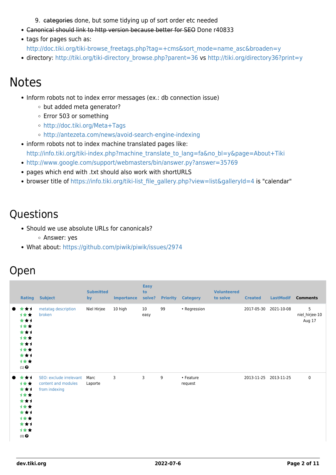9. categories done, but some tidying up of sort order etc needed

- Canonical should link to http version because better for SEO Done r40833
- tags for pages such as:
	- [http://doc.tiki.org/tiki-browse\\_freetags.php?tag=+cms&sort\\_mode=name\\_asc&broaden=y](http://doc.tiki.org/tiki-browse_freetags.php?tag=+cms&sort_mode=name_asc&broaden=y)
- directory: [http://tiki.org/tiki-directory\\_browse.php?parent=36](http://tiki.org/tiki-directory_browse.php?parent=36) vs<http://tiki.org/directory36?print=y>

### Notes

- Inform robots not to index error messages (ex.: db connection issue)
	- o but added meta generator?
	- Error 503 or something
	- <http://doc.tiki.org/Meta+Tags>
	- <http://antezeta.com/news/avoid-search-engine-indexing>
- inform robots not to index machine translated pages like: [http://info.tiki.org/tiki-index.php?machine\\_translate\\_to\\_lang=fa&no\\_bl=y&page=About+Tiki](http://info.tiki.org/tiki-index.php?machine_translate_to_lang=fa&no_bl=y&page=About+Tiki)
- <http://www.google.com/support/webmasters/bin/answer.py?answer=35769>
- pages which end with .txt should also work with shortURLS
- browser title of [https://info.tiki.org/tiki-list\\_file\\_gallery.php?view=list&galleryId=4](https://info.tiki.org/tiki-list_file_gallery.php?view=list&galleryId=4) is "calendar"

#### **Questions**

- Should we use absolute URLs for canonicals? Answer: yes
- What about:<https://github.com/piwik/piwik/issues/2974>

#### Open

| <b>Rating</b>                                                                                 | <b>Subject</b>                                                  | <b>Submitted</b><br>by | <b>Importance</b> | <b>Easy</b><br>to<br>solve? | <b>Priority</b> | <b>Category</b>      | <b>Volunteered</b><br>to solve | <b>Created</b>        | <b>LastModif</b> | <b>Comments</b>               |
|-----------------------------------------------------------------------------------------------|-----------------------------------------------------------------|------------------------|-------------------|-----------------------------|-----------------|----------------------|--------------------------------|-----------------------|------------------|-------------------------------|
| ***<br>1★★<br>***<br>计女女<br>***<br>计女女<br>***<br>计女女<br>***<br>计女女<br>$(1)$<br>$\pmb{\Theta}$ | metatag description<br>broken                                   | Niel Hirjee            | 10 high           | 10<br>easy                  | 99              | • Regression         |                                | 2017-05-30            | 2021-10-08       | 5<br>niel_hirjee-10<br>Aug 17 |
| ***<br>计女女<br>***<br>计女女<br>***<br>计女女<br>***<br>计女女<br>***<br>计女女<br>$(0)$ $\odot$           | SEO: exclude irrelevant<br>content and modules<br>from indexing | Marc<br>Laporte        | 3                 | 3                           | 9               | • Feature<br>request |                                | 2013-11-25 2013-11-25 |                  | 0                             |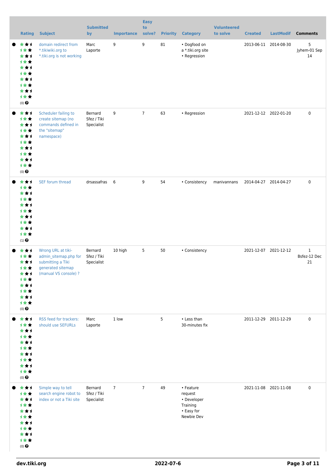| <b>Rating</b>                                                                                               | <b>Subject</b>                                                                                                 | <b>Submitted</b><br>by               | <b>Importance</b> | <b>Easy</b><br>to<br>solve? |    | <b>Priority Category</b>                                                    | <b>Volunteered</b><br>to solve | <b>Created</b>        | <b>LastModif</b>      | <b>Comments</b>                    |
|-------------------------------------------------------------------------------------------------------------|----------------------------------------------------------------------------------------------------------------|--------------------------------------|-------------------|-----------------------------|----|-----------------------------------------------------------------------------|--------------------------------|-----------------------|-----------------------|------------------------------------|
| ★★1<br>1★★<br>***<br><b>1**</b><br>***<br><b>1**</b><br>***<br><b>1★★</b><br>***<br>1**<br>$(0)$ $\odot$    | domain redirect from<br>*.tikiwiki.org to<br>*.tiki.org is not working                                         | Marc<br>Laporte                      | 9                 | 9                           | 81 | • Dogfood on<br>a *.tiki.org site<br>• Regression                           |                                |                       | 2013-06-11 2014-08-30 | 5<br>Jyhem-01 Sep<br>14            |
| ***<br>计女女<br>***<br><b>1**</b><br>***<br>计女女<br>***<br><b>1**</b><br>***<br>计女女<br>$(0)$ $\odot$           | Scheduler failing to<br>create sitemap (no<br>commands defined in<br>the "sitemap"<br>namespace)               | Bernard<br>Sfez / Tiki<br>Specialist | 9                 | $\overline{7}$              | 63 | • Regression                                                                |                                |                       | 2021-12-12 2022-01-20 | $\pmb{0}$                          |
| ***<br>1★★<br>***<br>计女女<br>***<br><b>1**</b><br>***<br><b>1**</b><br>***<br>计女女<br>$(1)$<br>$\pmb{\Theta}$ | SEF forum thread                                                                                               | drsassafras 6                        |                   | 9                           | 54 | • Consistency                                                               | manivannans                    |                       | 2014-04-27 2014-04-27 | $\pmb{0}$                          |
| ***<br>1**<br>***<br><b>1**</b><br>***<br><b>1**</b><br>***<br><b>1**</b><br>***<br>计女女<br>$(0)$ $\odot$    | Wrong URL at tiki-<br>admin_sitemap.php for<br>submitting a Tiki<br>generated sitemap<br>(manual VS console) ? | Bernard<br>Sfez / Tiki<br>Specialist | 10 high           | 5                           | 50 | • Consistency                                                               |                                |                       | 2021-12-07 2021-12-12 | $\mathbf{1}$<br>Bsfez-12 Dec<br>21 |
| ***<br>1★★<br>***<br>1★★<br>***<br><b>1**</b><br>***<br><b>1**</b><br>***<br>计女女<br>$(0)$ $\bigodot$        | RSS feed for trackers:<br>should use SEFURLs                                                                   | Marc<br>Laporte                      | 1 low             |                             | 5  | • Less than<br>30-minutes fix                                               |                                | 2011-12-29 2011-12-29 |                       | $\pmb{0}$                          |
| ***<br>1★★<br>***<br>1★★<br>***<br><b>1**</b><br>***<br><b>1**</b><br>***<br>计女女<br>$(0)$ $\bigodot$        | Simple way to tell<br>search engine robot to<br>index or not a Tiki site                                       | Bernard<br>Sfez / Tiki<br>Specialist | $7\overline{ }$   | $7\overline{ }$             | 49 | • Feature<br>request<br>• Developer<br>Training<br>• Easy for<br>Newbie Dev |                                |                       | 2021-11-08 2021-11-08 | $\pmb{0}$                          |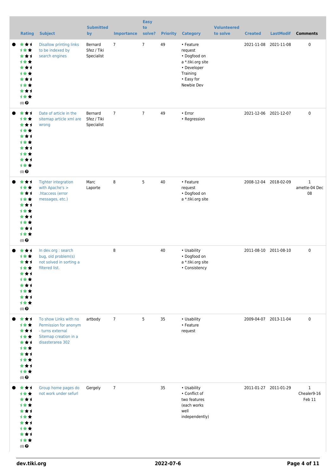| <b>Rating</b>                                                                                               | <b>Subject</b>                                                                                                  | <b>Submitted</b><br>by               | <b>Importance</b> | <b>Easy</b><br>to<br>solve? | <b>Priority</b> | <b>Category</b>                                                                                                  | <b>Volunteered</b><br>to solve | <b>Created</b>        | <b>LastModif</b>      | <b>Comments</b>                      |
|-------------------------------------------------------------------------------------------------------------|-----------------------------------------------------------------------------------------------------------------|--------------------------------------|-------------------|-----------------------------|-----------------|------------------------------------------------------------------------------------------------------------------|--------------------------------|-----------------------|-----------------------|--------------------------------------|
| ***<br>1★★<br>***<br><b>1**</b><br>***<br>***<br>***<br><b>1**</b><br>***<br>计女女<br>(0)                     | <b>Disallow printing links</b><br>to be indexed by<br>search engines                                            | Bernard<br>Sfez / Tiki<br>Specialist | $\overline{7}$    | $\overline{7}$              | 49              | • Feature<br>request<br>• Dogfood on<br>a *.tiki.org site<br>• Developer<br>Training<br>• Easy for<br>Newbie Dev |                                |                       | 2021-11-08 2021-11-08 | 0                                    |
| ***<br>1★★<br>***<br><b>1**</b><br>***<br><b>1**</b><br>***<br><b>1**</b><br>***<br>计女女<br>$(0)$ $\odot$    | Date of article in the<br>sitemap article xml are<br>wrong                                                      | Bernard<br>Sfez / Tiki<br>Specialist | $\overline{7}$    | $\overline{7}$              | 49              | • Error<br>• Regression                                                                                          |                                | 2021-12-06 2021-12-07 |                       | 0                                    |
| ***<br><b>1**</b><br>***<br>1★★<br>***<br><b>1**</b><br>***<br><b>1**</b><br>***<br>计女女<br>$(0)$ $\odot$    | <b>Tighter integration</b><br>with Apache's ><br>.htaccess (error<br>messages, etc.)                            | Marc<br>Laporte                      | 8                 | 5                           | 40              | • Feature<br>request<br>• Dogfood on<br>a *.tiki.org site                                                        |                                |                       | 2008-12-04 2018-02-09 | $\mathbf 1$<br>amette-04 Dec<br>08   |
| ***<br>1★★<br>* * 1<br><b>1**</b><br>***<br>***<br>***<br><b>1**</b><br>***<br>1★★<br>$(0)$ $\odot$         | In dev.org : search<br>bug, old problem(s)<br>not solved in sorting a<br>filtered list.                         |                                      | 8                 |                             | 40              | • Usability<br>• Dogfood on<br>a *.tiki.org site<br>• Consistency                                                |                                | 2011-08-10 2011-08-10 |                       | 0                                    |
| ***<br>1★★<br>***<br><b>1**</b><br>***<br><b>1**</b><br>***<br><b>1**</b><br>***<br>计女女<br>$(0)$ $\odot$    | To show Links with no<br>Permission for anonym<br>- turns external<br>Sitemap creation in a<br>disasterarea 302 | artbody                              | $7\overline{ }$   | 5                           | 35              | • Usability<br>• Feature<br>request                                                                              |                                | 2009-04-07 2013-11-04 |                       | 0                                    |
| ***<br>1★★<br>***<br><b>1**</b><br>***<br><b>1**</b><br>***<br><b>1**</b><br>***<br>计女女<br>$(0)$ $\bigodot$ | Group home pages do<br>not work under sefurl                                                                    | Gergely                              | $\overline{7}$    |                             | 35              | • Usability<br>• Conflict of<br>two features<br>(each works)<br>well<br>independently)                           |                                | 2011-01-27 2011-01-29 |                       | $\mathbf 1$<br>Chealer9-16<br>Feb 11 |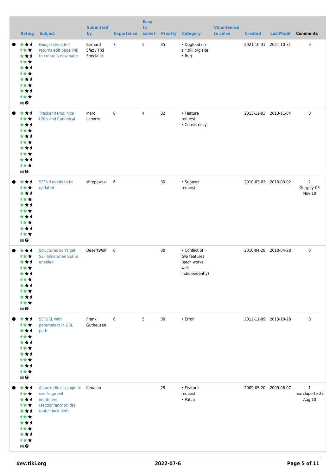| <b>Rating</b>                                                                                               | <b>Subject</b>                                                                                              | <b>Submitted</b><br>by               | <b>Importance</b> | <b>Easy</b><br>to<br>solve? | <b>Priority</b> | <b>Category</b>                                                        | <b>Volunteered</b><br>to solve | <b>Created</b>        | <b>LastModif</b>      | <b>Comments</b>                               |
|-------------------------------------------------------------------------------------------------------------|-------------------------------------------------------------------------------------------------------------|--------------------------------------|-------------------|-----------------------------|-----------------|------------------------------------------------------------------------|--------------------------------|-----------------------|-----------------------|-----------------------------------------------|
| ***<br>1★★<br>***<br>1★★<br>***<br><b>1**</b><br>***<br><b>1**</b><br>***<br>计女女<br>(0)                     | Google shouldn't<br>returns edit page link<br>to create a new page                                          | Bernard<br>Sfez / Tiki<br>Specialist | $7^{\circ}$       | 5                           | 35              | • Dogfood on<br>a *.tiki.org site<br>$\cdot$ Bug                       |                                |                       | 2021-10-31 2021-10-31 | 0                                             |
| ***<br>***<br>***<br><b>1**</b><br>***<br>计女女<br>***<br><b>1**</b><br>***<br>计女女<br>$(0)$ $\odot$           | Tracker items: nice<br><b>URLs and Canonical</b>                                                            | Marc<br>Laporte                      | 8                 | $\overline{4}$              | 32              | • Feature<br>request<br>• Consistency                                  |                                |                       | 2013-11-03 2013-11-04 | 0                                             |
| ***<br>1★★<br>***<br><b>1**</b><br>***<br><b>1**</b><br>***<br>1★★<br>***<br>计女女<br>$(0)$ $\odot$           | SEFUrl needs to be<br>updated                                                                               | shtepawski 6                         |                   |                             | 30              | • Support<br>request                                                   |                                |                       | 2010-03-02 2010-03-02 | $\overline{2}$<br>Gergely-03<br><b>Nov 10</b> |
| ***<br>1★★<br>***<br><b>1**</b><br>***<br><b>1**</b><br>★★1<br><b>1**</b><br>***<br>计女女<br>$(0)$ $\odot$    | Structures don't get<br>SEF links when SEF is<br>enabled                                                    | DesertWolf 6                         |                   |                             | 30              | • Conflict of<br>two features<br>(each works<br>well<br>independently) |                                |                       | 2010-04-28 2010-04-28 | 0                                             |
| ***<br>计女女<br>***<br><b>1**</b><br>***<br>1★★<br>***<br><b>1**</b><br>***<br>计女女<br>$(0)$<br>$\pmb{\Theta}$ | <b>SEFURL with</b><br>parameters in URL<br>path                                                             | Frank<br>Guthausen                   | 6                 | 5                           | 30              | • Error                                                                |                                | 2012-11-09 2013-10-28 |                       | 0                                             |
| ***<br>计女女<br>***<br>1★★<br>***<br>1★★<br>***<br>计女女<br>***<br>计女女<br>$(0)$ $\odot$                         | Allow redirect plugin to Ibmaian<br>use fragment<br>identifiers<br>(section/anchor ids)<br>(patch included) |                                      |                   |                             | 25              | • Feature<br>request<br>• Patch                                        |                                | 2009-05-20            | 2009-06-07            | $\mathbf{1}$<br>marclaporte-23<br>Aug 10      |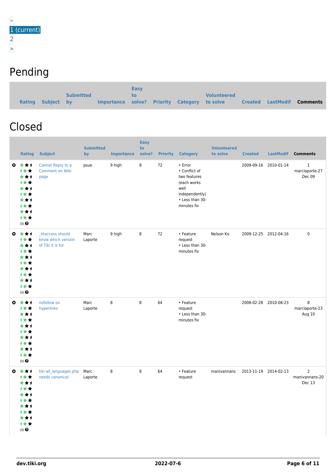### Pending

|                   |                  |                                              | <b>Easy</b> |  |                    |                          |          |
|-------------------|------------------|----------------------------------------------|-------------|--|--------------------|--------------------------|----------|
|                   | <b>Submitted</b> |                                              | TO.         |  | <b>Volunteered</b> |                          |          |
| Rating Subject by |                  | Importance solve? Priority Category to solve |             |  |                    | <b>Created LastModif</b> | Comments |

#### Closed

|           | <b>Rating</b>                                                                                                   | <b>Subject</b>                                              | <b>Submitted</b><br>by | <b>Importance</b> | <b>Easy</b><br>to<br>solve? | <b>Priority</b> | <b>Category</b>                                                                                                     | <b>Volunteered</b><br>to solve | <b>Created</b>        | <b>LastModif</b> | <b>Comments</b>                            |
|-----------|-----------------------------------------------------------------------------------------------------------------|-------------------------------------------------------------|------------------------|-------------------|-----------------------------|-----------------|---------------------------------------------------------------------------------------------------------------------|--------------------------------|-----------------------|------------------|--------------------------------------------|
|           | ◎ ★★1<br>1★★<br>***<br>计女女<br>***<br><b>1**</b><br>***<br><b>1**</b><br>***<br>1★★<br>$(0)$ $\odot$             | Cannot Reply to a<br><b>Comment on Wiki</b><br>page         | psue                   | 9 high            | 8                           | 72              | • Error<br>• Conflict of<br>two features<br>(each works<br>well<br>independently)<br>• Less than 30-<br>minutes fix |                                | 2009-09-16            | 2010-01-14       | $\mathbf{1}$<br>marclaporte-27<br>Dec 09   |
|           | $0 \star \star 1$<br>1★★<br>***<br>计女女<br>***<br><b>1**</b><br>***<br><b>1**</b><br>***<br>1★★<br>$(0)$ $\odot$ | _htaccess should<br>know which version<br>of Tiki it is for | Marc<br>Laporte        | 9 high            | 8                           | 72              | • Feature<br>request<br>• Less than 30-<br>minutes fix                                                              | Nelson Ko                      | 2009-12-25 2012-04-16 |                  | $\pmb{0}$                                  |
| $\bullet$ | ***<br>1★★<br>***<br>1★★<br>***<br><b>1**</b><br>***<br>计女女<br>***<br>1★★<br>$(0)$ $\odot$                      | nofollow on<br>hyperlinks                                   | Marc<br>Laporte        | 8                 | 8                           | 64              | • Feature<br>request<br>• Less than 30-<br>minutes fix                                                              |                                | 2008-02-28 2010-08-23 |                  | 8<br>marclaporte-23<br>Aug 10              |
| o.        | ***<br><b>1★★</b><br>***<br>计女女<br>***<br>1★★<br>***<br>计女女<br>***<br>计女女<br>$(0)$ $\odot$                      | tiki-all_languages.php<br>needs canonical                   | Marc<br>Laporte        | 8                 | 8                           | 64              | • Feature<br>request                                                                                                | manivannans                    | 2013-11-19 2014-02-13 |                  | $\overline{2}$<br>manivannans-20<br>Dec 13 |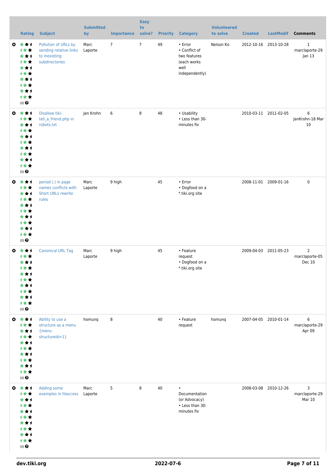|           | <b>Rating</b>                                                                                                          | <b>Subject</b>                                                                    | <b>Submitted</b><br>by | <b>Importance</b> | <b>Easy</b><br>to<br>solve? | <b>Priority</b> | <b>Category</b>                                                                   | <b>Volunteered</b><br>to solve | <b>Created</b> | <b>LastModif</b>      | <b>Comments</b>                            |
|-----------|------------------------------------------------------------------------------------------------------------------------|-----------------------------------------------------------------------------------|------------------------|-------------------|-----------------------------|-----------------|-----------------------------------------------------------------------------------|--------------------------------|----------------|-----------------------|--------------------------------------------|
| ◎         | ***<br>1**<br>***<br><b>1**</b><br>***<br>***<br>***<br><b>1**</b><br>***<br>计女女<br>(0)                                | Pollution of URLs by<br>sending relative links<br>to inexisting<br>subdirectories | Marc<br>Laporte        | $\overline{7}$    | $\overline{7}$              | 49              | • Error<br>• Conflict of<br>two features<br>(each works<br>well<br>independently) | Nelson Ko                      |                | 2012-10-16 2013-10-28 | 1<br>marclaporte-29<br>Jan 13              |
| $\bullet$ | ***<br>1★★<br>***<br><b>1**</b><br>***<br><b>1**</b><br>***<br><b>1**</b><br>***<br>计女女<br>$(0)$ $\odot$               | Disallow tiki-<br>tell_a_friend.php in<br>robots.txt                              | Jan Krohn              | 6                 | 8                           | 48              | • Usability<br>• Less than 30-<br>minutes fix                                     |                                |                | 2010-03-11 2011-02-05 | 6<br>JanKrohn-18 Mar<br>10                 |
| O         | ***<br>计女女<br>***<br>计女女<br>***<br><b>1**</b><br>***<br>计女女<br>***<br>计女女<br>$(0)$ $\odot$                             | period (.) in page<br>names conflicts with<br><b>Short URLs rewrite</b><br>rules  | Marc<br>Laporte        | 9 high            |                             | 45              | • Error<br>• Dogfood on a<br>*.tiki.org site                                      |                                |                | 2008-11-01 2009-01-16 | $\mathbf 0$                                |
| o.        | 大大才<br><b>1**</b><br>***<br><b>1**</b><br>***<br>1 * *<br>***<br><b>1**</b><br>***<br>计女女<br>$(0)$ $\odot$             | <b>Canonical URL Tag</b>                                                          | Marc<br>Laporte        | 9 high            |                             | 45              | • Feature<br>request<br>• Dogfood on a<br>*.tiki.org site                         |                                |                | 2009-04-03 2011-05-23 | $\overline{2}$<br>marclaporte-05<br>Dec 10 |
|           | $0 \star \star 1$<br>1★★<br>***<br><b>1**</b><br>***<br><b>1**</b><br>***<br><b>1**</b><br>***<br>1★★<br>$(0)$ $\odot$ | Ability to use a<br>structure as a menu<br>{menu<br>structureId=1}                | homung                 | 8                 |                             | 40              | • Feature<br>request                                                              | homung                         |                | 2007-04-05 2010-01-14 | 6<br>marclaporte-29<br>Apr 09              |
|           | $0 \star \star 1$<br>1★★<br>***<br><b>1**</b><br>***<br><b>1**</b><br>***<br><b>1**</b><br>***<br>1★★<br>$(0)$ $\odot$ | Adding some<br>examples in htaccess                                               | Marc<br>Laporte        | 5                 | 8                           | 40              | $\bullet$<br>Documentation<br>(or Advocacy)<br>• Less than 30-<br>minutes fix     |                                |                | 2008-03-08 2010-12-26 | 3<br>marclaporte-29<br>Mar 10              |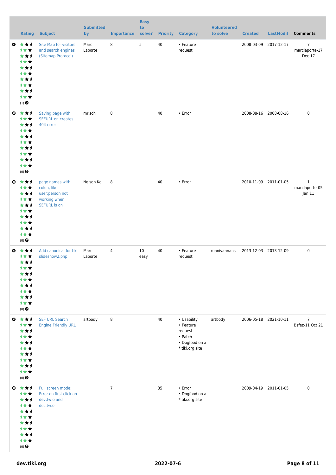|                       | <b>Rating</b>                                                                                                                | <b>Subject</b>                                                                           | <b>Submitted</b><br>by | <b>Importance</b> | <b>Easy</b><br>to<br>solve? | <b>Priority</b> | <b>Category</b>                                                                     | <b>Volunteered</b><br>to solve | <b>Created</b>        | <b>LastModif</b> | <b>Comments</b>                                   |
|-----------------------|------------------------------------------------------------------------------------------------------------------------------|------------------------------------------------------------------------------------------|------------------------|-------------------|-----------------------------|-----------------|-------------------------------------------------------------------------------------|--------------------------------|-----------------------|------------------|---------------------------------------------------|
|                       | $0$ $\star$ $\star$ $1$<br>1★★<br>***<br><b>1**</b><br>***<br><b>1**</b><br>***<br><b>1**</b><br>***<br>计女女<br>$(1)$ $\odot$ | Site Map for visitors<br>and search engines<br>(Sitemap Protocol)                        | Marc<br>Laporte        | 8                 | 5                           | 40              | • Feature<br>request                                                                |                                | 2008-03-09            | 2017-12-17       | $\overline{7}$<br>marclaporte-17<br><b>Dec 17</b> |
| ◎                     | ***<br>计女女<br>***<br><b>1**</b><br>***<br><b>1**</b><br>***<br><b>1**</b><br>***<br>计女女<br>$(0)$ $\odot$                     | Saving page with<br><b>SEFURL on creates</b><br>404 error                                | mrisch                 | 8                 |                             | 40              | • Error                                                                             |                                | 2008-08-16 2008-08-16 |                  | $\mathbf 0$                                       |
| $\boldsymbol{\omega}$ | ***<br>1★★<br>***<br><b>1**</b><br>***<br><b>1**</b><br>***<br>计女女<br>***<br>计女女<br>$(0)$ $\odot$                            | page names with<br>colon, like<br>user:person not<br>working when<br><b>SEFURL</b> is on | Nelson Ko              | 8                 |                             | 40              | • Error                                                                             |                                | 2010-11-09 2011-01-05 |                  | $\mathbf{1}$<br>marclaporte-05<br>Jan 11          |
| O                     | ***<br>***<br>***<br>计女女<br>***<br><b>1**</b><br>***<br><b>1**</b><br>***<br>1★★<br>$(0)$ $\odot$                            | Add canonical for tiki-<br>slideshow2.php                                                | Marc<br>Laporte        | 4                 | 10<br>easy                  | 40              | • Feature<br>request                                                                | manivannans                    | 2013-12-03 2013-12-09 |                  | $\pmb{0}$                                         |
|                       | ◎ ★★1<br>1★★<br>***<br>1★★<br>***<br>计女女<br>***<br>计女女<br>***<br>1★★<br>$(0)$<br>$\pmb{\Theta}$                              | <b>SEF URL Search</b><br><b>Engine Friendly URL</b>                                      | artbody                | 8                 |                             | 40              | • Usability<br>• Feature<br>request<br>• Patch<br>• Dogfood on a<br>*.tiki.org site | artbody                        | 2006-05-18 2021-10-11 |                  | $\overline{7}$<br>Bsfez-11 Oct 21                 |
|                       | ◎ ★★1<br>1★★<br>***<br>计女女<br>***<br><b>1**</b><br>***<br>计女女<br>***<br>计女女<br>$(0)$ $\odot$                                 | Full screen mode:<br>Error on first click on<br>dev.tw.o and<br>doc.tw.o                 |                        | $\overline{7}$    |                             | 35              | $\bullet$ Error<br>• Dogfood on a<br>*.tiki.org site                                |                                | 2009-04-19 2011-01-05 |                  | $\pmb{0}$                                         |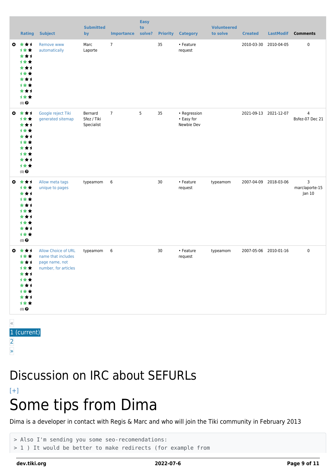|           | <b>Rating</b>                                                                                                               | <b>Subject</b>                                                                             | <b>Submitted</b><br>by               | <b>Importance</b> | <b>Easy</b><br>to<br>solve? |    | <b>Priority Category</b>                 | <b>Volunteered</b><br>to solve | <b>Created</b>        | <b>LastModif</b>      | <b>Comments</b>                   |
|-----------|-----------------------------------------------------------------------------------------------------------------------------|--------------------------------------------------------------------------------------------|--------------------------------------|-------------------|-----------------------------|----|------------------------------------------|--------------------------------|-----------------------|-----------------------|-----------------------------------|
|           | $0 \star \star \star$<br>1★★<br>***<br><b>1**</b><br>***<br><b>1★★</b><br>***<br><b>1**</b><br>***<br>计女女<br>$(0)$ $\Theta$ | Remove www<br>automatically                                                                | Marc<br>Laporte                      | $7\overline{ }$   |                             | 35 | • Feature<br>request                     |                                |                       | 2010-03-30 2010-04-05 | $\pmb{0}$                         |
| $\bullet$ | ***<br>计女女<br>***<br><b>1**</b><br>***<br><b>1**</b><br>***<br><b>1**</b><br>***<br><b>1**</b><br>$(0)$ $\odot$             | Google reject Tiki<br>generated sitemap                                                    | Bernard<br>Sfez / Tiki<br>Specialist | $\overline{7}$    | 5                           | 35 | • Regression<br>• Easy for<br>Newbie Dev |                                | 2021-09-13 2021-12-07 |                       | $\overline{4}$<br>Bsfez-07 Dec 21 |
| $\bullet$ | ***<br>计女女<br>***<br><b>1**</b><br>***<br><b>1**</b><br>***<br><b>1**</b><br>***<br>计女女<br>$(0)$ $\odot$                    | Allow meta tags<br>unique to pages                                                         | typeamom                             | 6                 |                             | 30 | • Feature<br>request                     | typeamom                       |                       | 2007-04-09 2018-03-06 | 3<br>marclaporte-15<br>Jan 10     |
| ø         | ***<br>1★★<br>***<br>计女女<br>***<br>1女女<br>***<br>***<br>***<br>1★★<br>$(0)$ $\odot$                                         | <b>Allow Choice of URL</b><br>name that includes<br>page name, not<br>number, for articles | typeamom                             | 6                 |                             | 30 | • Feature<br>request                     | typeamom                       | 2007-05-06 2010-01-16 |                       | $\pmb{0}$                         |

« 1 (current) [2](https://dev.tiki.org/tiki-print.php?tr_sort_mode2=f_43_asc&page=Search+engine+optimization&tr_offset3=20) [»](https://dev.tiki.org/tiki-print.php?tr_sort_mode2=f_43_asc&page=Search+engine+optimization&tr_offset3=20)

### Discussion on IRC about SEFURLs

#### $[+]$ Some tips from Dima

Dima is a developer in contact with Regis & Marc and who will join the Tiki community in February 2013

```
> Also I'm sending you some seo-recomendations:
> 1 ) It would be better to make redirects (for example from
```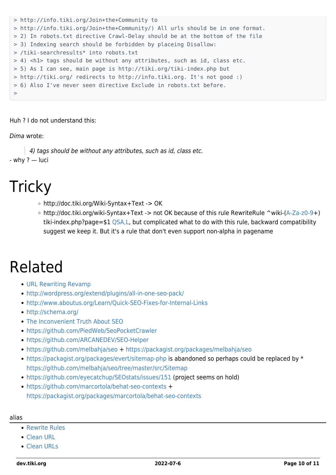```
> http://info.tiki.org/Join+the+Community to
> http://info.tiki.org/Join+the+Community/) All urls should be in one format.
> 2) In robots.txt directive Crawl-Delay should be at the bottom of the file
> 3) Indexing search should be forbidden by placeing Disallow:
> /tiki-searchresults* into robots.txt
> 4) <h1> tags should be without any attributes, such as id, class etc.
> 5) As I can see, main page is http://tiki.org/tiki-index.php but
> http://tiki.org/ redirects to http://info.tiki.org. It's not good :)
> 6) Also I've never seen directive Exclude in robots.txt before.
>
```
Huh ? I do not understand this:

#### Dima wrote:

4) tags should be without any attributes, such as id, class etc. - why ? — luci

## **Tricky**

- http://doc.tiki.org/Wiki-Syntax+Text -> OK
- http://doc.tiki.org/wiki-Syntax+Text -> not OK because of this rule RewriteRule ^wiki-[\(A-Za-z0-9](https://dev.tiki.org/A-Za-z0-9)+) tiki-index.php?page=\$1 [QSA,L](https://dev.tiki.org/QSA,L), but complicated what to do with this rule, backward compatibility suggest we keep it. But it's a rule that don't even support non-alpha in pagename

## Related

- [URL Rewriting Revamp](https://dev.tiki.org/URL-Rewriting-Revamp)
- <http://wordpress.org/extend/plugins/all-in-one-seo-pack/>
- <http://www.aboutus.org/Learn/Quick-SEO-Fixes-for-Internal-Links>
- <http://schema.org/>
- [The Inconvenient Truth About SEO](http://www.smashingmagazine.com/2012/12/11/seo-the-inconvenient-truth/)
- <https://github.com/PiedWeb/SeoPocketCrawler>
- <https://github.com/ARCANEDEV/SEO-Helper>
- <https://github.com/melbahja/seo> +<https://packagist.org/packages/melbahja/seo>
- <https://packagist.org/packages/evert/sitemap-php> is abandoned so perhaps could be replaced by \* <https://github.com/melbahja/seo/tree/master/src/Sitemap>
- <https://github.com/eyecatchup/SEOstats/issues/151>(project seems on hold)
- <https://github.com/marcortola/behat-seo-contexts> + <https://packagist.org/packages/marcortola/behat-seo-contexts>

#### alias

- [Rewrite Rules](https://dev.tiki.org/Rewrite-Rules)
- [Clean URL](https://dev.tiki.org/Clean-URL)
- [Clean URLs](https://dev.tiki.org/Clean-URLs)